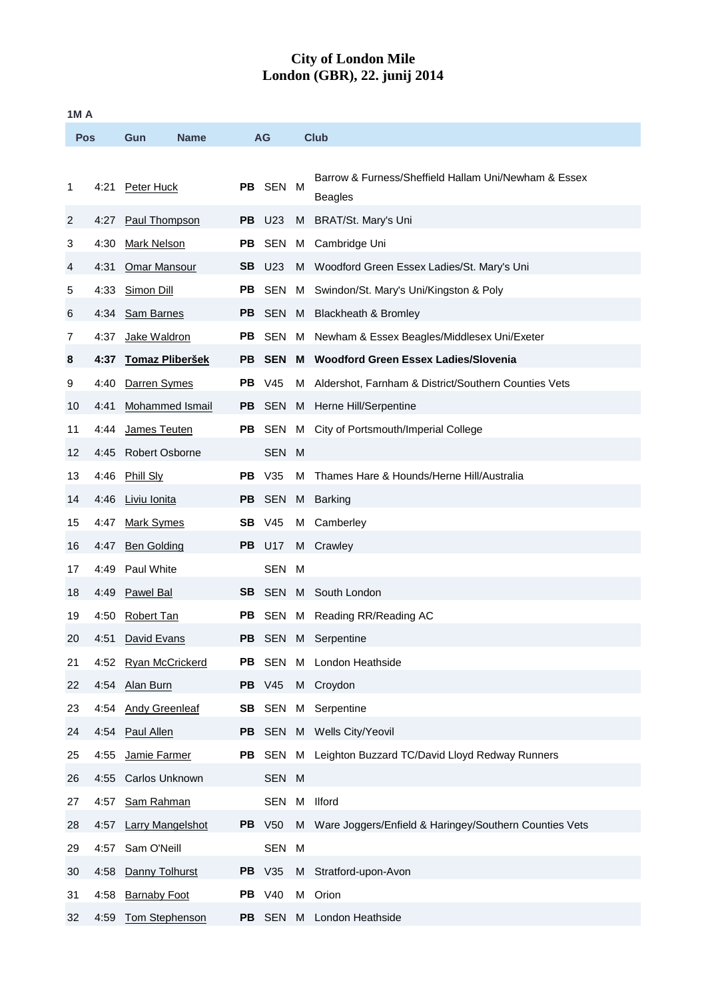## **City of London Mile London (GBR), 22. junij 2014**

| <b>1MA</b> |      |                         |           |               |   |                                                                        |  |
|------------|------|-------------------------|-----------|---------------|---|------------------------------------------------------------------------|--|
| <b>Pos</b> |      | <b>Name</b><br>Gun      |           | AG            |   | <b>Club</b>                                                            |  |
| 1          | 4:21 | Peter Huck              |           | PB SEN M      |   | Barrow & Furness/Sheffield Hallam Uni/Newham & Essex<br><b>Beagles</b> |  |
| 2          | 4:27 | Paul Thompson           |           | <b>PB</b> U23 |   | M BRAT/St. Mary's Uni                                                  |  |
| 3          | 4:30 | Mark Nelson             |           | PB SEN        |   | M Cambridge Uni                                                        |  |
| 4          | 4:31 | <b>Omar Mansour</b>     |           | <b>SB</b> U23 |   | M Woodford Green Essex Ladies/St. Mary's Uni                           |  |
| 5          | 4:33 | Simon Dill              | PB.       |               |   | SEN M Swindon/St. Mary's Uni/Kingston & Poly                           |  |
| 6          | 4:34 | <b>Sam Barnes</b>       |           |               |   | PB SEN M Blackheath & Bromley                                          |  |
| 7          | 4:37 | Jake Waldron            | PB.       |               |   | SEN M Newham & Essex Beagles/Middlesex Uni/Exeter                      |  |
| 8          | 4:37 | <b>Tomaz Pliberšek</b>  |           | <b>PB SEN</b> |   | M Woodford Green Essex Ladies/Slovenia                                 |  |
| 9          | 4:40 | Darren Symes            |           | <b>PB</b> V45 |   | M Aldershot, Farnham & District/Southern Counties Vets                 |  |
| 10         | 4:41 | Mohammed Ismail         | PB.       | SEN           |   | M Herne Hill/Serpentine                                                |  |
| 11         | 4:44 | James Teuten            |           |               |   | PB SEN M City of Portsmouth/Imperial College                           |  |
| 12         | 4:45 | <b>Robert Osborne</b>   |           | SEN M         |   |                                                                        |  |
| 13         | 4:46 | <b>Phill Sly</b>        |           | <b>PB</b> V35 | M | Thames Hare & Hounds/Herne Hill/Australia                              |  |
| 14         | 4:46 | <u>Liviu Ionita</u>     | <b>PB</b> | SEN           |   | M Barking                                                              |  |
| 15         | 4:47 | <b>Mark Symes</b>       |           | <b>SB</b> V45 | M | Camberley                                                              |  |
| 16         |      | 4:47 Ben Golding        |           | <b>PB</b> U17 |   | M Crawley                                                              |  |
| 17         | 4:49 | <b>Paul White</b>       |           | SEN M         |   |                                                                        |  |
| 18         | 4:49 | <b>Pawel Bal</b>        |           |               |   | <b>SB</b> SEN M South London                                           |  |
| 19         | 4:50 | Robert Tan              |           |               |   | PB SEN M Reading RR/Reading AC                                         |  |
| 20         |      | 4:51 David Evans        |           |               |   | <b>PB</b> SEN M Serpentine                                             |  |
| 21         | 4:52 | <b>Ryan McCrickerd</b>  |           |               |   | PB SEN M London Heathside                                              |  |
| 22         | 4:54 | Alan Burn               |           | <b>PB</b> V45 |   | M Croydon                                                              |  |
| 23         | 4:54 | <b>Andy Greenleaf</b>   |           |               |   | <b>SB</b> SEN M Serpentine                                             |  |
| 24         | 4:54 | <b>Paul Allen</b>       |           |               |   | PB SEN M Wells City/Yeovil                                             |  |
| 25         | 4:55 | Jamie Farmer            |           |               |   | PB SEN M Leighton Buzzard TC/David Lloyd Redway Runners                |  |
| 26         | 4:55 | Carlos Unknown          |           | SEN M         |   |                                                                        |  |
| 27         | 4:57 | Sam Rahman              |           | SEN           |   | M Ilford                                                               |  |
| 28         | 4:57 | <b>Larry Mangelshot</b> |           | <b>PB</b> V50 |   | M Ware Joggers/Enfield & Haringey/Southern Counties Vets               |  |
| 29         |      | 4:57 Sam O'Neill        |           | SEN           | M |                                                                        |  |
| 30         | 4:58 | Danny Tolhurst          |           | <b>PB</b> V35 |   | M Stratford-upon-Avon                                                  |  |
| 31         | 4:58 | <b>Barnaby Foot</b>     |           | <b>PB</b> V40 |   | M Orion                                                                |  |
| 32         | 4:59 | Tom Stephenson          |           |               |   | PB SEN M London Heathside                                              |  |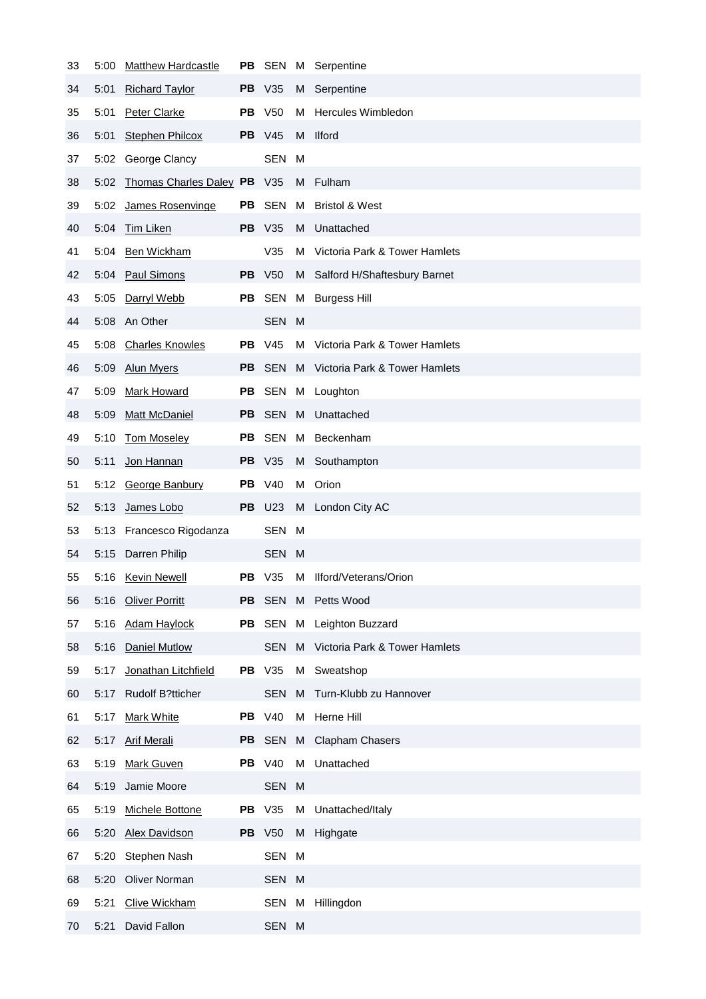| 33 | 5:00 | <b>Matthew Hardcastle</b>   | PB  |               |          | SEN M Serpentine                |
|----|------|-----------------------------|-----|---------------|----------|---------------------------------|
| 34 | 5:01 | <b>Richard Taylor</b>       |     | <b>PB</b> V35 |          | M Serpentine                    |
| 35 | 5:01 | <b>Peter Clarke</b>         |     | <b>PB</b> V50 | M        | Hercules Wimbledon              |
| 36 | 5:01 | <b>Stephen Philcox</b>      |     | <b>PB</b> V45 |          | M Ilford                        |
| 37 |      | 5:02 George Clancy          |     | <b>SEN</b>    | M        |                                 |
| 38 | 5:02 | Thomas Charles Daley PB V35 |     |               |          | M Fulham                        |
| 39 | 5:02 | James Rosenvinge            |     | PB SEN        | M        | <b>Bristol &amp; West</b>       |
| 40 | 5:04 | Tim Liken                   |     | <b>PB</b> V35 | M        | Unattached                      |
| 41 |      | 5:04 Ben Wickham            |     | V35           | м        | Victoria Park & Tower Hamlets   |
| 42 |      | 5:04 Paul Simons            |     | <b>PB</b> V50 |          | M Salford H/Shaftesbury Barnet  |
| 43 |      | 5:05 Darryl Webb            |     | PB SEN        |          | M Burgess Hill                  |
| 44 |      | 5:08 An Other               |     | SEN M         |          |                                 |
| 45 | 5:08 | <b>Charles Knowles</b>      |     | <b>PB</b> V45 |          | M Victoria Park & Tower Hamlets |
| 46 | 5:09 | <b>Alun Myers</b>           | PB. | SEN           |          | M Victoria Park & Tower Hamlets |
| 47 | 5:09 | <b>Mark Howard</b>          |     |               |          | PB SEN M Loughton               |
| 48 | 5:09 | <b>Matt McDaniel</b>        | PB. | SEN           | <b>M</b> | Unattached                      |
| 49 | 5:10 | <b>Tom Moseley</b>          | PB. | SEN           | M        | Beckenham                       |
| 50 | 5:11 | Jon Hannan                  |     | <b>PB</b> V35 | M        | Southampton                     |
| 51 |      | 5:12 George Banbury         |     | <b>PB</b> V40 | М        | Orion                           |
| 52 | 5:13 | James Lobo                  |     | <b>PB</b> U23 | M        | London City AC                  |
| 53 |      | 5:13 Francesco Rigodanza    |     | SEN M         |          |                                 |
| 54 | 5:15 | Darren Philip               |     | SEN M         |          |                                 |
| 55 |      | 5:16 Kevin Newell           | PB. | V35           |          | M Ilford/Veterans/Orion         |
| 56 | 5:16 | <b>Oliver Porritt</b>       | PB  | <b>SEN</b>    | M        | Petts Wood                      |
| 57 | 5:16 | <b>Adam Haylock</b>         |     | PB SEN        | М        | Leighton Buzzard                |
| 58 | 5:16 | <b>Daniel Mutlow</b>        |     | <b>SEN</b>    | M        | Victoria Park & Tower Hamlets   |
| 59 | 5:17 | Jonathan Litchfield         |     | <b>PB</b> V35 | М        | Sweatshop                       |
| 60 | 5:17 | <b>Rudolf B?tticher</b>     |     | <b>SEN</b>    | M        | Turn-Klubb zu Hannover          |
| 61 | 5:17 | <b>Mark White</b>           |     | <b>PB</b> V40 | М        | Herne Hill                      |
| 62 | 5:17 | <b>Arif Merali</b>          |     | PB SEN        | M        | <b>Clapham Chasers</b>          |
| 63 | 5:19 | <b>Mark Guven</b>           |     | <b>PB</b> V40 | M        | Unattached                      |
| 64 | 5:19 | Jamie Moore                 |     | SEN M         |          |                                 |
| 65 | 5:19 | Michele Bottone             |     | <b>PB</b> V35 | М        | Unattached/Italy                |
| 66 | 5:20 | <b>Alex Davidson</b>        |     | <b>PB</b> V50 | M        | Highgate                        |
| 67 | 5:20 | Stephen Nash                |     | SEN M         |          |                                 |
| 68 | 5:20 | <b>Oliver Norman</b>        |     | SEN M         |          |                                 |
| 69 | 5:21 | <b>Clive Wickham</b>        |     | SEN M         |          | Hillingdon                      |
| 70 | 5:21 | David Fallon                |     | SEN M         |          |                                 |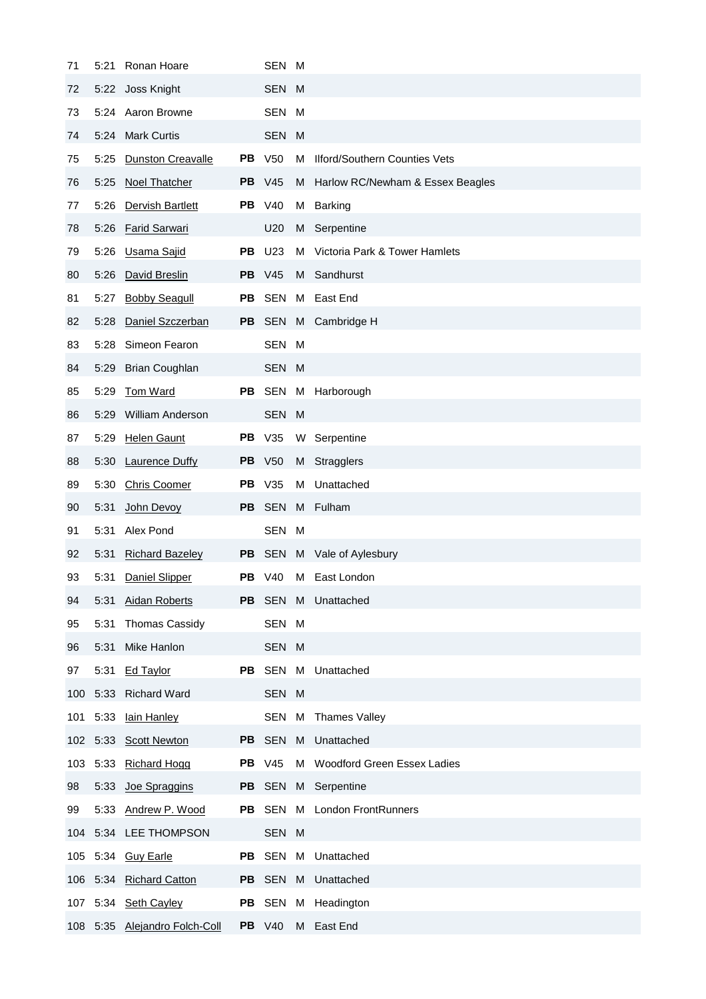| 71  | 5:21 | Ronan Hoare               |           | SEN M           |   |                                      |
|-----|------|---------------------------|-----------|-----------------|---|--------------------------------------|
| 72  | 5:22 | Joss Knight               |           | SEN M           |   |                                      |
| 73  |      | 5:24 Aaron Browne         |           | SEN M           |   |                                      |
| 74  |      | 5:24 Mark Curtis          |           | SEN M           |   |                                      |
| 75  | 5:25 | <b>Dunston Creavalle</b>  |           | <b>PB</b> V50   | M | <b>Ilford/Southern Counties Vets</b> |
| 76  | 5:25 | <b>Noel Thatcher</b>      |           | <b>PB</b> V45   | M | Harlow RC/Newham & Essex Beagles     |
| 77  | 5:26 | Dervish Bartlett          |           | <b>PB</b> V40   |   | M Barking                            |
| 78  | 5:26 | <b>Farid Sarwari</b>      |           | U <sub>20</sub> |   | M Serpentine                         |
| 79  | 5:26 | Usama Sajid               | PB.       | U23             |   | M Victoria Park & Tower Hamlets      |
| 80  | 5:26 | David Breslin             |           | <b>PB</b> V45   | M | Sandhurst                            |
| 81  | 5:27 | <b>Bobby Seagull</b>      |           | PB SEN          |   | M East End                           |
| 82  | 5:28 | Daniel Szczerban          |           |                 |   | PB SEN M Cambridge H                 |
| 83  | 5:28 | Simeon Fearon             |           | SEN M           |   |                                      |
| 84  | 5:29 | <b>Brian Coughlan</b>     |           | SEN M           |   |                                      |
| 85  | 5:29 | <b>Tom Ward</b>           |           |                 |   | PB SEN M Harborough                  |
| 86  | 5:29 | William Anderson          |           | SEN M           |   |                                      |
| 87  | 5:29 | <b>Helen Gaunt</b>        |           | <b>PB</b> V35   |   | W Serpentine                         |
| 88  | 5:30 | <b>Laurence Duffy</b>     | <b>PB</b> | V <sub>50</sub> | M | Stragglers                           |
| 89  | 5:30 | <b>Chris Coomer</b>       | PB.       | V35             | M | Unattached                           |
| 90  | 5:31 | John Devoy                | PB.       | SEN             |   | M Fulham                             |
| 91  | 5:31 | Alex Pond                 |           | SEN M           |   |                                      |
| 92  | 5:31 | <b>Richard Bazeley</b>    |           |                 |   | PB SEN M Vale of Aylesbury           |
| 93  | 5:31 | Daniel Slipper            |           | <b>PB</b> V40   | M | East London                          |
| 94  | 5:31 | <b>Aidan Roberts</b>      |           |                 |   | PB SEN M Unattached                  |
| 95  | 5:31 | Thomas Cassidy            |           | SEN M           |   |                                      |
| 96  | 5:31 | Mike Hanlon               |           | SEN M           |   |                                      |
| 97  | 5:31 | <b>Ed Taylor</b>          |           |                 |   | PB SEN M Unattached                  |
| 100 |      | 5:33 Richard Ward         |           | SEN M           |   |                                      |
| 101 | 5:33 | lain Hanley               |           |                 |   | SEN M Thames Valley                  |
| 102 |      | 5:33 Scott Newton         |           |                 |   | PB SEN M Unattached                  |
| 103 |      | 5:33 Richard Hogg         |           | <b>PB</b> V45   |   | M Woodford Green Essex Ladies        |
| 98  | 5:33 | Joe Spraggins             |           |                 |   | PB SEN M Serpentine                  |
| 99  |      | 5:33 Andrew P. Wood       |           |                 |   | PB SEN M London FrontRunners         |
|     |      | 104 5:34 LEE THOMPSON     |           | SEN M           |   |                                      |
| 105 |      | 5:34 Guy Earle            |           |                 |   | PB SEN M Unattached                  |
| 106 |      | 5:34 Richard Catton       |           |                 |   | PB SEN M Unattached                  |
|     |      | 107 5:34 Seth Cayley      |           |                 |   | PB SEN M Headington                  |
| 108 |      | 5:35 Alejandro Folch-Coll |           | <b>PB</b> V40   | M | East End                             |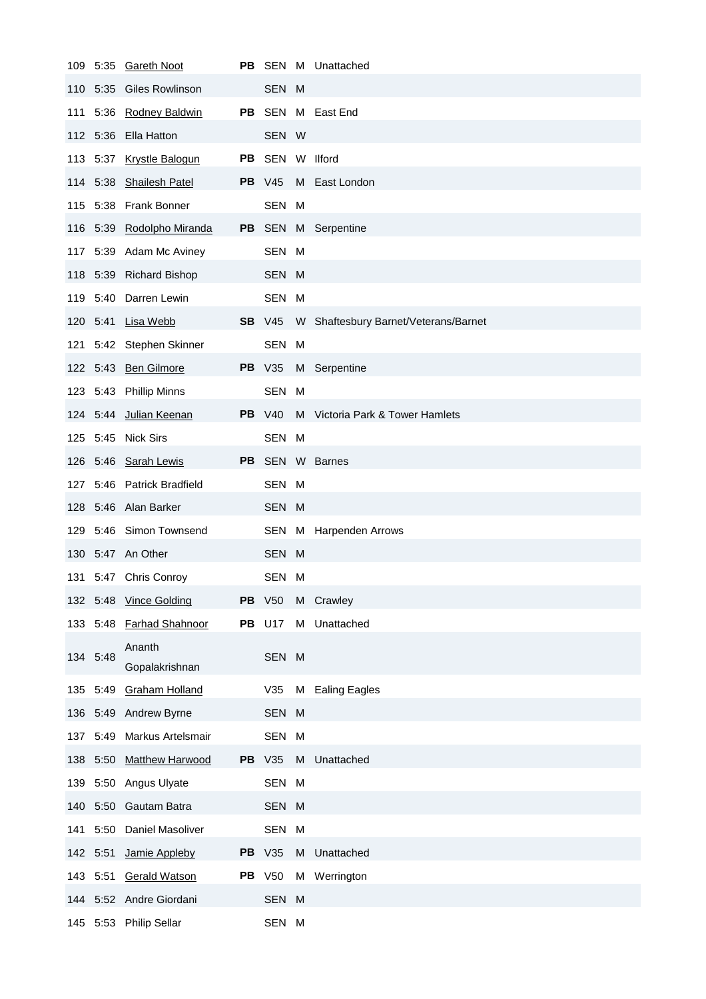| 109 |          | 5:35 Gareth Noot          |    |                 |   | PB SEN M Unattached                  |
|-----|----------|---------------------------|----|-----------------|---|--------------------------------------|
|     | 110 5:35 | Giles Rowlinson           |    | SEN M           |   |                                      |
|     |          | 111 5:36 Rodney Baldwin   |    |                 |   | PB SEN M East End                    |
|     |          | 112 5:36 Ella Hatton      |    | SEN W           |   |                                      |
|     |          | 113 5:37 Krystle Balogun  |    | PB SEN W Ilford |   |                                      |
|     |          | 114 5:38 Shailesh Patel   |    | <b>PB</b> V45   |   | M East London                        |
|     |          | 115 5:38 Frank Bonner     |    | SEN M           |   |                                      |
|     |          | 116 5:39 Rodolpho Miranda |    |                 |   | PB SEN M Serpentine                  |
|     |          | 117 5:39 Adam Mc Aviney   |    | SEN M           |   |                                      |
|     |          | 118 5:39 Richard Bishop   |    | SEN M           |   |                                      |
|     |          | 119 5:40 Darren Lewin     |    | SEN M           |   |                                      |
|     |          | 120 5:41 <b>Lisa Webb</b> |    | <b>SB</b> V45   |   | W Shaftesbury Barnet/Veterans/Barnet |
|     |          | 121 5:42 Stephen Skinner  |    | SEN M           |   |                                      |
|     |          | 122 5:43 Ben Gilmore      |    | <b>PB</b> V35   |   | M Serpentine                         |
|     |          | 123 5:43 Phillip Minns    |    | SEN M           |   |                                      |
|     |          | 124 5:44 Julian Keenan    |    | <b>PB</b> V40   |   | M Victoria Park & Tower Hamlets      |
|     |          | 125 5:45 Nick Sirs        |    | SEN M           |   |                                      |
|     |          | 126 5:46 Sarah Lewis      |    |                 |   | PB SEN W Barnes                      |
| 127 |          | 5:46 Patrick Bradfield    |    | SEN M           |   |                                      |
| 128 |          | 5:46 Alan Barker          |    | SEN M           |   |                                      |
|     |          | 129 5:46 Simon Townsend   |    |                 |   | SEN M Harpenden Arrows               |
|     |          | 130 5:47 An Other         |    | SEN M           |   |                                      |
|     |          | 131 5:47 Chris Conroy     |    | SEN M           |   |                                      |
|     | 132 5:48 | <b>Vince Golding</b>      | PB | V50             | М | Crawley                              |
|     | 133 5:48 | <b>Farhad Shahnoor</b>    | PВ | U17             | М | Unattached                           |
| 134 |          |                           |    |                 |   |                                      |
|     | 5:48     | Ananth<br>Gopalakrishnan  |    | SEN M           |   |                                      |
| 135 |          | 5:49 Graham Holland       |    | V35             | M | <b>Ealing Eagles</b>                 |
| 136 |          | 5:49 Andrew Byrne         |    | SEN M           |   |                                      |
| 137 | 5:49     | <b>Markus Artelsmair</b>  |    | SEN M           |   |                                      |
| 138 | 5:50     | <b>Matthew Harwood</b>    |    | <b>PB</b> V35   | M | Unattached                           |
| 139 | 5:50     | Angus Ulyate              |    | SEN M           |   |                                      |
| 140 | 5:50     | Gautam Batra              |    | SEN M           |   |                                      |
| 141 | 5:50     | Daniel Masoliver          |    | SEN M           |   |                                      |
| 142 | 5:51     | Jamie Appleby             |    | <b>PB</b> V35   | M | Unattached                           |
|     | 143 5:51 | <b>Gerald Watson</b>      |    | <b>PB</b> V50   | М | Werrington                           |
| 144 | 5:52     | Andre Giordani            |    | SEN M           |   |                                      |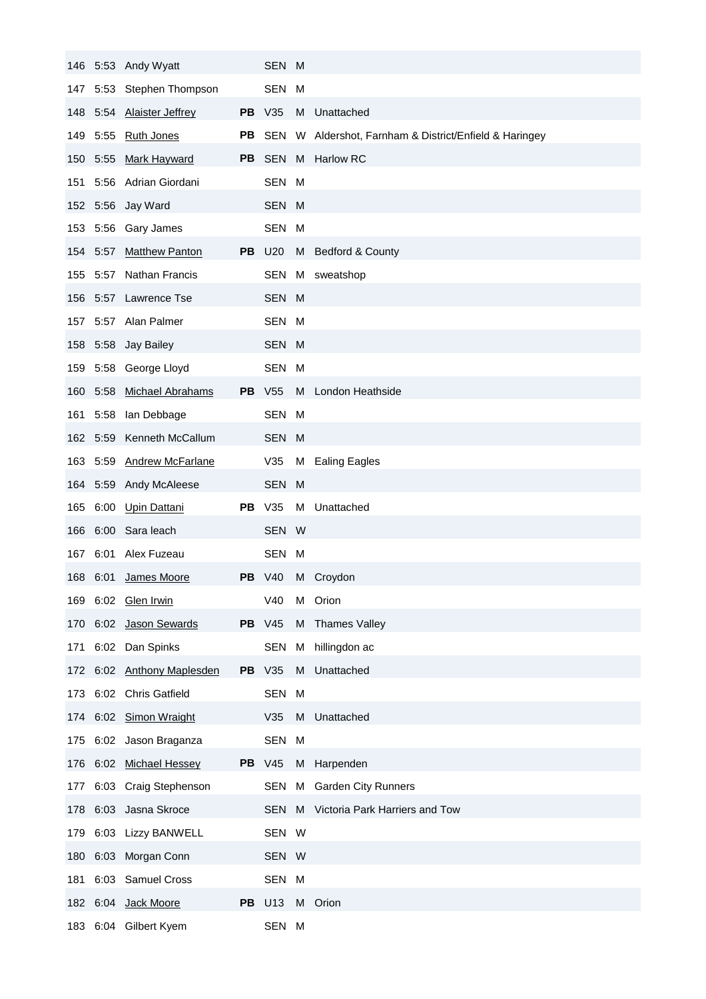|     |          | 146 5:53 Andy Wyatt       |           | SEN M         |   |                                                           |
|-----|----------|---------------------------|-----------|---------------|---|-----------------------------------------------------------|
| 147 |          | 5:53 Stephen Thompson     |           | SEN M         |   |                                                           |
|     | 148 5:54 | <b>Alaister Jeffrey</b>   |           | <b>PB</b> V35 | M | Unattached                                                |
|     |          | 149 5:55 Ruth Jones       |           |               |   | PB SEN W Aldershot, Farnham & District/Enfield & Haringey |
| 150 |          | 5:55 Mark Hayward         | <b>PB</b> | SEN           |   | M Harlow RC                                               |
| 151 |          | 5:56 Adrian Giordani      |           | SEN M         |   |                                                           |
|     |          | 152 5:56 Jay Ward         |           | SEN M         |   |                                                           |
|     |          | 153 5:56 Gary James       |           | SEN M         |   |                                                           |
| 154 | 5:57     | <b>Matthew Panton</b>     |           | <b>PB</b> U20 |   | M Bedford & County                                        |
| 155 |          | 5:57 Nathan Francis       |           |               |   | SEN M sweatshop                                           |
|     |          | 156 5:57 Lawrence Tse     |           | SEN M         |   |                                                           |
| 157 |          | 5:57 Alan Palmer          |           | SEN M         |   |                                                           |
| 158 |          | 5:58 Jay Bailey           |           | SEN M         |   |                                                           |
| 159 |          | 5:58 George Lloyd         |           | SEN M         |   |                                                           |
|     | 160 5:58 | <b>Michael Abrahams</b>   |           | <b>PB</b> V55 |   | M London Heathside                                        |
| 161 |          | 5:58 Ian Debbage          |           | SEN M         |   |                                                           |
|     | 162 5:59 | Kenneth McCallum          |           | SEN M         |   |                                                           |
|     |          | 163 5:59 Andrew McFarlane |           | V35           | M | <b>Ealing Eagles</b>                                      |
|     |          | 164 5:59 Andy McAleese    |           | SEN M         |   |                                                           |
|     |          |                           |           |               |   |                                                           |
| 165 | 6:00     | Upin Dattani              |           | <b>PB</b> V35 | M | Unattached                                                |
| 166 |          | 6:00 Sara leach           |           | SEN W         |   |                                                           |
| 167 | 6:01     | Alex Fuzeau               |           | SEN M         |   |                                                           |
|     | 168 6:01 | James Moore               |           | <b>PB</b> V40 |   | M Croydon                                                 |
|     |          | 169 6:02 Glen Irwin       |           | V40           |   | M Orion                                                   |
| 170 | 6:02     | Jason Sewards             |           | <b>PB</b> V45 |   | M Thames Valley                                           |
| 171 |          | 6:02 Dan Spinks           |           | <b>SEN</b>    | М | hillingdon ac                                             |
| 172 |          | 6:02 Anthony Maplesden    |           | <b>PB</b> V35 | M | Unattached                                                |
| 173 |          | 6:02 Chris Gatfield       |           | SEN           | M |                                                           |
| 174 |          | 6:02 Simon Wraight        |           | V35           | M | Unattached                                                |
|     |          | 175 6:02 Jason Braganza   |           | SEN M         |   |                                                           |
|     |          | 176 6:02 Michael Hessey   |           | <b>PB</b> V45 | M | Harpenden                                                 |
| 177 |          | 6:03 Craig Stephenson     |           | SEN           |   | M Garden City Runners                                     |
|     | 178 6:03 | Jasna Skroce              |           |               |   | SEN M Victoria Park Harriers and Tow                      |
| 179 |          | 6:03 Lizzy BANWELL        |           | SEN W         |   |                                                           |
| 180 | 6:03     | Morgan Conn               |           | SEN W         |   |                                                           |
| 181 |          | 6:03 Samuel Cross         |           | SEN M         |   |                                                           |
|     |          | 182 6:04 Jack Moore       |           | <b>PB</b> U13 |   | M Orion                                                   |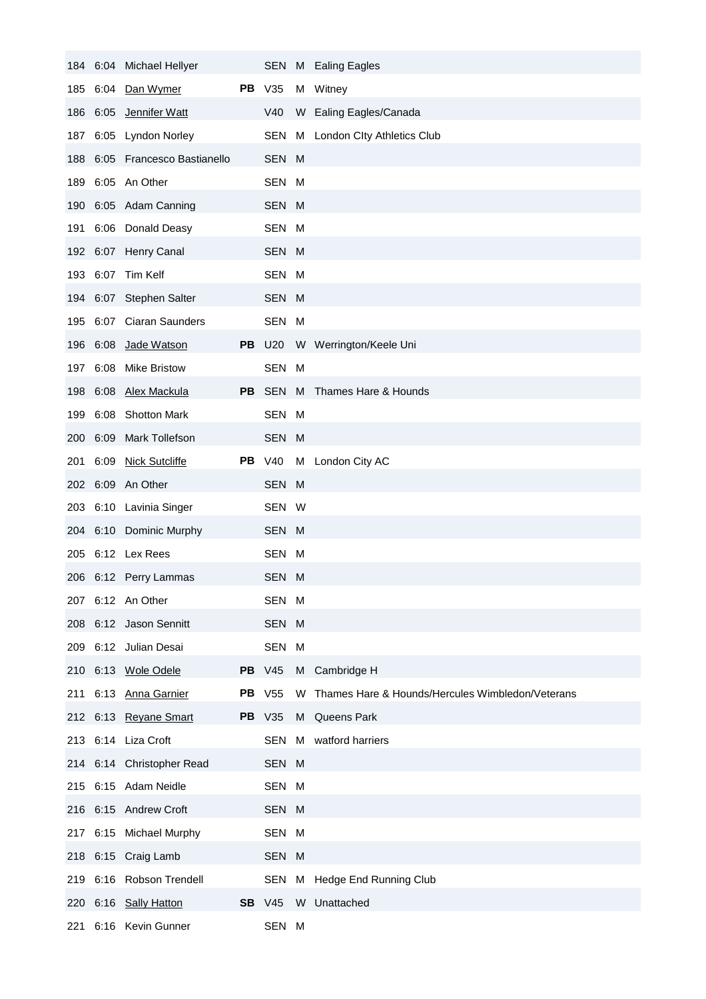|     |          | 184 6:04 Michael Hellyer       |               |   | SEN M Ealing Eagles                              |
|-----|----------|--------------------------------|---------------|---|--------------------------------------------------|
| 185 |          | 6:04 Dan Wymer                 | <b>PB</b> V35 |   | M Witney                                         |
|     |          | 186 6:05 Jennifer Watt         | V40           |   | W Ealing Eagles/Canada                           |
| 187 |          | 6:05 Lyndon Norley             |               |   | SEN M London Clty Athletics Club                 |
|     |          | 188 6:05 Francesco Bastianello | SEN M         |   |                                                  |
| 189 |          | 6:05 An Other                  | SEN M         |   |                                                  |
|     |          | 190 6:05 Adam Canning          | SEN M         |   |                                                  |
| 191 |          | 6:06 Donald Deasy              | SEN M         |   |                                                  |
|     |          | 192 6:07 Henry Canal           | SEN M         |   |                                                  |
|     |          | 193 6:07 Tim Kelf              | SEN M         |   |                                                  |
|     |          | 194 6:07 Stephen Salter        | SEN M         |   |                                                  |
| 195 |          | 6:07 Ciaran Saunders           | SEN M         |   |                                                  |
| 196 | 6:08     | Jade Watson                    |               |   | PB U20 W Werrington/Keele Uni                    |
|     |          | 197 6:08 Mike Bristow          | SEN M         |   |                                                  |
|     |          | 198 6:08 Alex Mackula          |               |   | PB SEN M Thames Hare & Hounds                    |
| 199 |          | 6:08 Shotton Mark              | SEN M         |   |                                                  |
|     | 200 6:09 | Mark Tollefson                 | SEN M         |   |                                                  |
|     |          | 201 6:09 Nick Sutcliffe        | <b>PB</b> V40 |   | M London City AC                                 |
|     |          | 202 6:09 An Other              | SEN M         |   |                                                  |
|     |          | 203 6:10 Lavinia Singer        | SEN W         |   |                                                  |
|     |          | 204 6:10 Dominic Murphy        | SEN M         |   |                                                  |
|     |          | 205 6:12 Lex Rees              | SEN M         |   |                                                  |
|     |          | 206 6:12 Perry Lammas          | SEN M         |   |                                                  |
|     |          | 207 6:12 An Other              | SEN M         |   |                                                  |
| 208 |          | 6:12 Jason Sennitt             | SEN M         |   |                                                  |
|     |          | 209 6:12 Julian Desai          | SEN M         |   |                                                  |
|     |          | 210 6:13 Wole Odele            | <b>PB</b> V45 |   | M Cambridge H                                    |
| 211 |          | 6:13 Anna Garnier              | <b>PB</b> V55 | W | Thames Hare & Hounds/Hercules Wimbledon/Veterans |
|     |          | 212 6:13 Reyane Smart          | <b>PB</b> V35 | M | Queens Park                                      |
|     |          | 213 6:14 Liza Croft            | SEN           | M | watford harriers                                 |
|     |          | 214 6:14 Christopher Read      | SEN M         |   |                                                  |
|     |          | 215 6:15 Adam Neidle           | SEN M         |   |                                                  |
|     |          | 216 6:15 Andrew Croft          | SEN M         |   |                                                  |
| 217 | 6:15     | <b>Michael Murphy</b>          | SEN M         |   |                                                  |
|     |          | 218 6:15 Craig Lamb            | SEN M         |   |                                                  |
| 219 |          | 6:16 Robson Trendell           | SEN           | М | Hedge End Running Club                           |
|     |          | 220 6:16 Sally Hatton          | <b>SB</b> V45 | W | Unattached                                       |
| 221 |          | 6:16 Kevin Gunner              | SEN M         |   |                                                  |